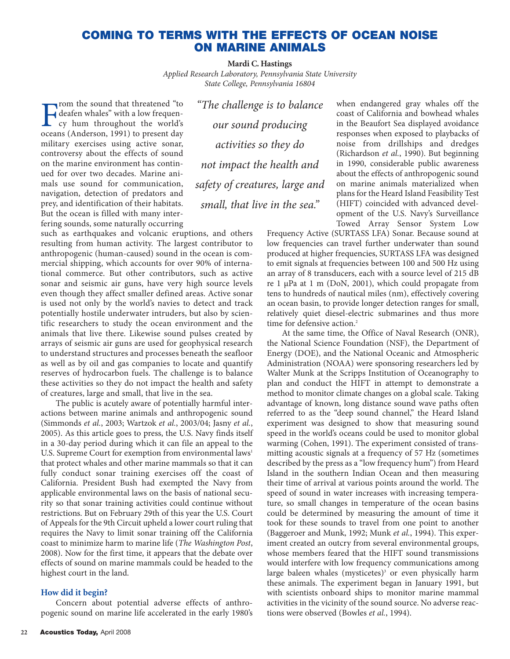## **COMING TO TERMS WITH THE EFFECTS OF OCEAN NOISE ON MARINE ANIMALS**

**Mardi C. Hastings**

*Applied Research Laboratory, Pennsylvania State University State College, Pennsylvania 16804*

From the sound that threatened "to<br>deafen whales" with a low frequen-<br>cy hum throughout the world's<br>oceans (Anderson, 1991) to present day rom the sound that threatened "to deafen whales" with a low frequency hum throughout the world's military exercises using active sonar, controversy about the effects of sound on the marine environment has continued for over two decades. Marine animals use sound for communication, navigation, detection of predators and prey, and identification of their habitats. But the ocean is filled with many interfering sounds, some naturally occurring

*"The challenge is to balance our sound producing activities so they do not impact the health and safety of creatures, large and small, that live in the sea."*

such as earthquakes and volcanic eruptions, and others resulting from human activity. The largest contributor to anthropogenic (human-caused) sound in the ocean is commercial shipping, which accounts for over 90% of international commerce. But other contributors, such as active sonar and seismic air guns, have very high source levels even though they affect smaller defined areas. Active sonar is used not only by the world's navies to detect and track potentially hostile underwater intruders, but also by scientific researchers to study the ocean environment and the animals that live there. Likewise sound pulses created by arrays of seismic air guns are used for geophysical research to understand structures and processes beneath the seafloor as well as by oil and gas companies to locate and quantify reserves of hydrocarbon fuels. The challenge is to balance these activities so they do not impact the health and safety of creatures, large and small, that live in the sea.

The public is acutely aware of potentially harmful interactions between marine animals and anthropogenic sound (Simmonds *et al.*, 2003; Wartzok *et al.*, 2003/04; Jasny *et al.*, 2005). As this article goes to press, the U.S. Navy finds itself in a 30-day period during which it can file an appeal to the U.S. Supreme Court for exemption from environmental laws<sup>1</sup> that protect whales and other marine mammals so that it can fully conduct sonar training exercises off the coast of California. President Bush had exempted the Navy from applicable environmental laws on the basis of national security so that sonar training activities could continue without restrictions. But on February 29th of this year the U.S. Court of Appeals for the 9th Circuit upheld a lower court ruling that requires the Navy to limit sonar training off the California coast to minimize harm to marine life (*The Washington Post*, 2008). Now for the first time, it appears that the debate over effects of sound on marine mammals could be headed to the highest court in the land.

#### **How did it begin?**

Concern about potential adverse effects of anthropogenic sound on marine life accelerated in the early 1980's when endangered gray whales off the coast of California and bowhead whales in the Beaufort Sea displayed avoidance responses when exposed to playbacks of noise from drillships and dredges (Richardson *et al.*, 1990). But beginning in 1990, considerable public awareness about the effects of anthropogenic sound on marine animals materialized when plans for the Heard Island Feasibility Test (HIFT) coincided with advanced development of the U.S. Navy's Surveillance Towed Array Sensor System Low

Frequency Active (SURTASS LFA) Sonar. Because sound at low frequencies can travel further underwater than sound produced at higher frequencies, SURTASS LFA was designed to emit signals at frequencies between 100 and 500 Hz using an array of 8 transducers, each with a source level of 215 dB re 1 µPa at 1 m (DoN, 2001), which could propagate from tens to hundreds of nautical miles (nm), effectively covering an ocean basin, to provide longer detection ranges for small, relatively quiet diesel-electric submarines and thus more time for defensive action.<sup>2</sup>

At the same time, the Office of Naval Research (ONR), the National Science Foundation (NSF), the Department of Energy (DOE), and the National Oceanic and Atmospheric Administration (NOAA) were sponsoring researchers led by Walter Munk at the Scripps Institution of Oceanography to plan and conduct the HIFT in attempt to demonstrate a method to monitor climate changes on a global scale. Taking advantage of known, long distance sound wave paths often referred to as the "deep sound channel," the Heard Island experiment was designed to show that measuring sound speed in the world's oceans could be used to monitor global warming (Cohen, 1991). The experiment consisted of transmitting acoustic signals at a frequency of 57 Hz (sometimes described by the press as a "low frequency hum") from Heard Island in the southern Indian Ocean and then measuring their time of arrival at various points around the world. The speed of sound in water increases with increasing temperature, so small changes in temperature of the ocean basins could be determined by measuring the amount of time it took for these sounds to travel from one point to another (Baggeroer and Munk, 1992; Munk *et al.*, 1994). This experiment created an outcry from several environmental groups, whose members feared that the HIFT sound transmissions would interfere with low frequency communications among large baleen whales (mysticetes)<sup>3</sup> or even physically harm these animals. The experiment began in January 1991, but with scientists onboard ships to monitor marine mammal activities in the vicinity of the sound source. No adverse reactions were observed (Bowles *et al.*, 1994).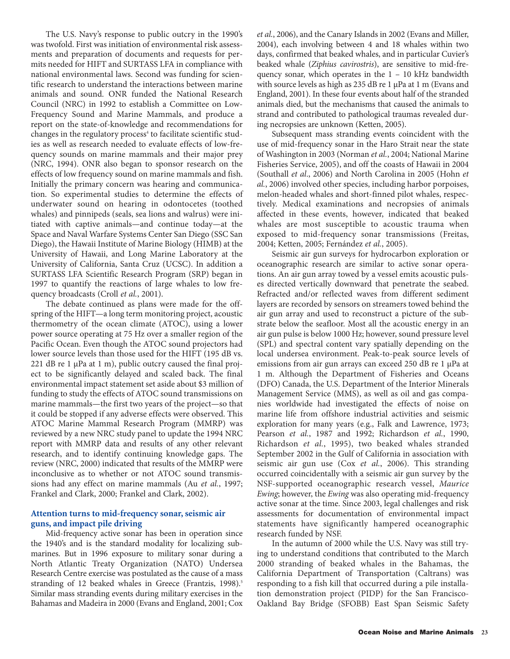The U.S. Navy's response to public outcry in the 1990's was twofold. First was initiation of environmental risk assessments and preparation of documents and requests for permits needed for HIFT and SURTASS LFA in compliance with national environmental laws. Second was funding for scientific research to understand the interactions between marine animals and sound. ONR funded the National Research Council (NRC) in 1992 to establish a Committee on Low-Frequency Sound and Marine Mammals, and produce a report on the state-of-knowledge and recommendations for changes in the regulatory process<sup>4</sup> to facilitate scientific studies as well as research needed to evaluate effects of low-frequency sounds on marine mammals and their major prey (NRC, 1994). ONR also began to sponsor research on the effects of low frequency sound on marine mammals and fish. Initially the primary concern was hearing and communication. So experimental studies to determine the effects of underwater sound on hearing in odontocetes (toothed whales) and pinnipeds (seals, sea lions and walrus) were initiated with captive animals—and continue today—at the Space and Naval Warfare Systems Center San Diego (SSC San Diego), the Hawaii Institute of Marine Biology (HIMB) at the University of Hawaii, and Long Marine Laboratory at the University of California, Santa Cruz (UCSC). In addition a SURTASS LFA Scientific Research Program (SRP) began in 1997 to quantify the reactions of large whales to low frequency broadcasts (Croll *et al.*, 2001).

The debate continued as plans were made for the offspring of the HIFT—a long term monitoring project, acoustic thermometry of the ocean climate (ATOC), using a lower power source operating at 75 Hz over a smaller region of the Pacific Ocean. Even though the ATOC sound projectors had lower source levels than those used for the HIFT (195 dB vs. 221 dB re 1  $\mu$ Pa at 1 m), public outcry caused the final project to be significantly delayed and scaled back. The final environmental impact statement set aside about \$3 million of funding to study the effects of ATOC sound transmissions on marine mammals—the first two years of the project—so that it could be stopped if any adverse effects were observed. This ATOC Marine Mammal Research Program (MMRP) was reviewed by a new NRC study panel to update the 1994 NRC report with MMRP data and results of any other relevant research, and to identify continuing knowledge gaps. The review (NRC, 2000) indicated that results of the MMRP were inconclusive as to whether or not ATOC sound transmissions had any effect on marine mammals (Au *et al.*, 1997; Frankel and Clark, 2000; Frankel and Clark, 2002).

#### **Attention turns to mid-frequency sonar, seismic air guns, and impact pile driving**

Mid-frequency active sonar has been in operation since the 1940's and is the standard modality for localizing submarines. But in 1996 exposure to military sonar during a North Atlantic Treaty Organization (NATO) Undersea Research Centre exercise was postulated as the cause of a mass stranding of 12 beaked whales in Greece (Frantzis, 1998).<sup>5</sup> Similar mass stranding events during military exercises in the Bahamas and Madeira in 2000 (Evans and England, 2001; Cox

*et al.*, 2006), and the Canary Islands in 2002 (Evans and Miller, 2004), each involving between 4 and 18 whales within two days, confirmed that beaked whales, and in particular Cuvier's beaked whale (*Ziphius cavirostris*), are sensitive to mid-frequency sonar, which operates in the 1 – 10 kHz bandwidth with source levels as high as 235 dB re 1 µPa at 1 m (Evans and England, 2001). In these four events about half of the stranded animals died, but the mechanisms that caused the animals to strand and contributed to pathological traumas revealed during necropsies are unknown (Ketten, 2005).

Subsequent mass stranding events coincident with the use of mid-frequency sonar in the Haro Strait near the state of Washington in 2003 (Norman *et al.*, 2004; National Marine Fisheries Service, 2005), and off the coasts of Hawaii in 2004 (Southall *et al*., 2006) and North Carolina in 2005 (Hohn *et al.*, 2006) involved other species, including harbor porpoises, melon-headed whales and short-finned pilot whales, respectively. Medical examinations and necropsies of animals affected in these events, however, indicated that beaked whales are most susceptible to acoustic trauma when exposed to mid-frequency sonar transmissions (Freitas, 2004; Ketten, 2005; Fernández *et al.*, 2005).

Seismic air gun surveys for hydrocarbon exploration or oceanographic research are similar to active sonar operations. An air gun array towed by a vessel emits acoustic pulses directed vertically downward that penetrate the seabed. Refracted and/or reflected waves from different sediment layers are recorded by sensors on streamers towed behind the air gun array and used to reconstruct a picture of the substrate below the seafloor. Most all the acoustic energy in an air gun pulse is below 1000 Hz; however, sound pressure level (SPL) and spectral content vary spatially depending on the local undersea environment. Peak-to-peak source levels of emissions from air gun arrays can exceed 250 dB re 1 µPa at 1 m. Although the Department of Fisheries and Oceans (DFO) Canada, the U.S. Department of the Interior Minerals Management Service (MMS), as well as oil and gas companies worldwide had investigated the effects of noise on marine life from offshore industrial activities and seismic exploration for many years (e.g., Falk and Lawrence, 1973; Pearson *et al.*, 1987 and 1992; Richardson *et al.*, 1990, Richardson *et al.*, 1995), two beaked whales stranded September 2002 in the Gulf of California in association with seismic air gun use (Cox *et al.*, 2006). This stranding occurred coincidentally with a seismic air gun survey by the NSF-supported oceanographic research vessel, *Maurice Ewing*; however, the *Ewing* was also operating mid-frequency active sonar at the time. Since 2003, legal challenges and risk assessments for documentation of environmental impact statements have significantly hampered oceanographic research funded by NSF.

In the autumn of 2000 while the U.S. Navy was still trying to understand conditions that contributed to the March 2000 stranding of beaked whales in the Bahamas, the California Department of Transportation (Caltrans) was responding to a fish kill that occurred during a pile installation demonstration project (PIDP) for the San Francisco-Oakland Bay Bridge (SFOBB) East Span Seismic Safety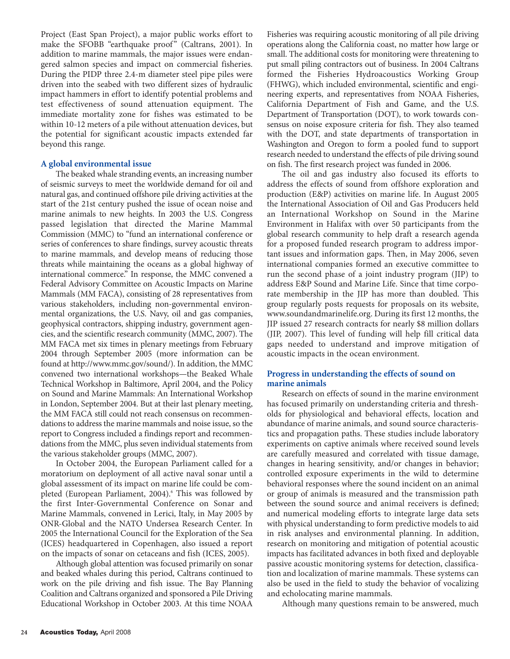Project (East Span Project), a major public works effort to make the SFOBB "earthquake proof" (Caltrans, 2001). In addition to marine mammals, the major issues were endangered salmon species and impact on commercial fisheries. During the PIDP three 2.4-m diameter steel pipe piles were driven into the seabed with two different sizes of hydraulic impact hammers in effort to identify potential problems and test effectiveness of sound attenuation equipment. The immediate mortality zone for fishes was estimated to be within 10-12 meters of a pile without attenuation devices, but the potential for significant acoustic impacts extended far beyond this range.

#### **A global environmental issue**

The beaked whale stranding events, an increasing number of seismic surveys to meet the worldwide demand for oil and natural gas, and continued offshore pile driving activities at the start of the 21st century pushed the issue of ocean noise and marine animals to new heights. In 2003 the U.S. Congress passed legislation that directed the Marine Mammal Commission (MMC) to "fund an international conference or series of conferences to share findings, survey acoustic threats to marine mammals, and develop means of reducing those threats while maintaining the oceans as a global highway of international commerce." In response, the MMC convened a Federal Advisory Committee on Acoustic Impacts on Marine Mammals (MM FACA), consisting of 28 representatives from various stakeholders, including non-governmental environmental organizations, the U.S. Navy, oil and gas companies, geophysical contractors, shipping industry, government agencies, and the scientific research community (MMC, 2007). The MM FACA met six times in plenary meetings from February 2004 through September 2005 (more information can be found at http://www.mmc.gov/sound/). In addition, the MMC convened two international workshops—the Beaked Whale Technical Workshop in Baltimore, April 2004, and the Policy on Sound and Marine Mammals: An International Workshop in London, September 2004. But at their last plenary meeting, the MM FACA still could not reach consensus on recommendations to address the marine mammals and noise issue, so the report to Congress included a findings report and recommendations from the MMC, plus seven individual statements from the various stakeholder groups (MMC, 2007).

In October 2004, the European Parliament called for a moratorium on deployment of all active naval sonar until a global assessment of its impact on marine life could be completed (European Parliament, 2004).<sup>6</sup> This was followed by the first Inter-Governmental Conference on Sonar and Marine Mammals, convened in Lerici, Italy, in May 2005 by ONR-Global and the NATO Undersea Research Center. In 2005 the International Council for the Exploration of the Sea (ICES) headquartered in Copenhagen, also issued a report on the impacts of sonar on cetaceans and fish (ICES, 2005).

Although global attention was focused primarily on sonar and beaked whales during this period, Caltrans continued to work on the pile driving and fish issue. The Bay Planning Coalition and Caltrans organized and sponsored a Pile Driving Educational Workshop in October 2003. At this time NOAA

Fisheries was requiring acoustic monitoring of all pile driving operations along the California coast, no matter how large or small. The additional costs for monitoring were threatening to put small piling contractors out of business. In 2004 Caltrans formed the Fisheries Hydroacoustics Working Group (FHWG), which included environmental, scientific and engineering experts, and representatives from NOAA Fisheries, California Department of Fish and Game, and the U.S. Department of Transportation (DOT), to work towards consensus on noise exposure criteria for fish. They also teamed with the DOT, and state departments of transportation in Washington and Oregon to form a pooled fund to support research needed to understand the effects of pile driving sound on fish. The first research project was funded in 2006.

The oil and gas industry also focused its efforts to address the effects of sound from offshore exploration and production (E&P) activities on marine life. In August 2005 the International Association of Oil and Gas Producers held an International Workshop on Sound in the Marine Environment in Halifax with over 50 participants from the global research community to help draft a research agenda for a proposed funded research program to address important issues and information gaps. Then, in May 2006, seven international companies formed an executive committee to run the second phase of a joint industry program (JIP) to address E&P Sound and Marine Life. Since that time corporate membership in the JIP has more than doubled. This group regularly posts requests for proposals on its website, www.soundandmarinelife.org. During its first 12 months, the JIP issued 27 research contracts for nearly \$8 million dollars (JIP, 2007). This level of funding will help fill critical data gaps needed to understand and improve mitigation of acoustic impacts in the ocean environment.

#### **Progress in understanding the effects of sound on marine animals**

Research on effects of sound in the marine environment has focused primarily on understanding criteria and thresholds for physiological and behavioral effects, location and abundance of marine animals, and sound source characteristics and propagation paths. These studies include laboratory experiments on captive animals where received sound levels are carefully measured and correlated with tissue damage, changes in hearing sensitivity, and/or changes in behavior; controlled exposure experiments in the wild to determine behavioral responses where the sound incident on an animal or group of animals is measured and the transmission path between the sound source and animal receivers is defined; and numerical modeling efforts to integrate large data sets with physical understanding to form predictive models to aid in risk analyses and environmental planning. In addition, research on monitoring and mitigation of potential acoustic impacts has facilitated advances in both fixed and deployable passive acoustic monitoring systems for detection, classification and localization of marine mammals. These systems can also be used in the field to study the behavior of vocalizing and echolocating marine mammals.

Although many questions remain to be answered, much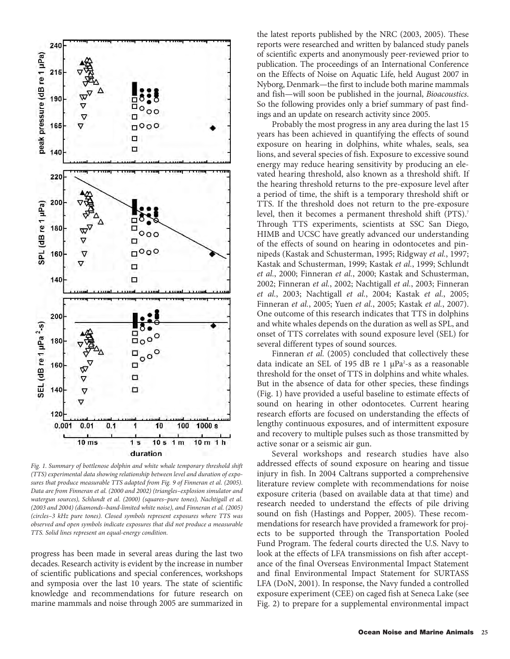

*Fig. 1. Summary of bottlenose dolphin and white whale temporary threshold shift (TTS) experimental data showing relationship between level and duration of exposures that produce measurable TTS adapted from Fig. 9 of Finneran et al. (2005). Data are from Finneran et al. (2000 and 2002) (triangles–explosion simulator and watergun sources), Schlundt et al. (2000) (squares–pure tones), Nachtigall et al. (2003 and 2004) (diamonds–band-limited white noise), and Finneran et al. (2005) (circles–3 kHz pure tones). Closed symbols represent exposures where TTS was observed and open symbols indicate exposures that did not produce a measurable TTS. Solid lines represent an equal-energy condition.*

progress has been made in several areas during the last two decades. Research activity is evident by the increase in number of scientific publications and special conferences, workshops and symposia over the last 10 years. The state of scientific knowledge and recommendations for future research on marine mammals and noise through 2005 are summarized in

the latest reports published by the NRC (2003, 2005). These reports were researched and written by balanced study panels of scientific experts and anonymously peer-reviewed prior to publication. The proceedings of an International Conference on the Effects of Noise on Aquatic Life, held August 2007 in Nyborg, Denmark—the first to include both marine mammals and fish—will soon be published in the journal, *Bioacoustics*. So the following provides only a brief summary of past findings and an update on research activity since 2005.

Probably the most progress in any area during the last 15 years has been achieved in quantifying the effects of sound exposure on hearing in dolphins, white whales, seals, sea lions, and several species of fish. Exposure to excessive sound energy may reduce hearing sensitivity by producing an elevated hearing threshold, also known as a threshold shift. If the hearing threshold returns to the pre-exposure level after a period of time, the shift is a temporary threshold shift or TTS. If the threshold does not return to the pre-exposure level, then it becomes a permanent threshold shift (PTS).<sup>7</sup> Through TTS experiments, scientists at SSC San Diego, HIMB and UCSC have greatly advanced our understanding of the effects of sound on hearing in odontocetes and pinnipeds (Kastak and Schusterman, 1995; Ridgway *et al.*, 1997; Kastak and Schusterman, 1999; Kastak *et al.*, 1999; Schlundt *et al.*, 2000; Finneran *et al.*, 2000; Kastak and Schusterman, 2002; Finneran *et al.*, 2002; Nachtigall *et al.*, 2003; Finneran *et al.*, 2003; Nachtigall *et al.*, 2004; Kastak *et al.*, 2005; Finneran *et al.*, 2005; Yuen *et al.*, 2005; Kastak *et al.*, 2007). One outcome of this research indicates that TTS in dolphins and white whales depends on the duration as well as SPL, and onset of TTS correlates with sound exposure level (SEL) for several different types of sound sources.

Finneran *et al.* (2005) concluded that collectively these data indicate an SEL of 195 dB re 1  $\mu$ Pa<sup>2</sup>-s as a reasonable threshold for the onset of TTS in dolphins and white whales. But in the absence of data for other species, these findings (Fig. 1) have provided a useful baseline to estimate effects of sound on hearing in other odontocetes. Current hearing research efforts are focused on understanding the effects of lengthy continuous exposures, and of intermittent exposure and recovery to multiple pulses such as those transmitted by active sonar or a seismic air gun.

Several workshops and research studies have also addressed effects of sound exposure on hearing and tissue injury in fish. In 2004 Caltrans supported a comprehensive literature review complete with recommendations for noise exposure criteria (based on available data at that time) and research needed to understand the effects of pile driving sound on fish (Hastings and Popper, 2005). These recommendations for research have provided a framework for projects to be supported through the Transportation Pooled Fund Program. The federal courts directed the U.S. Navy to look at the effects of LFA transmissions on fish after acceptance of the final Overseas Environmental Impact Statement and final Environmental Impact Statement for SURTASS LFA (DoN, 2001). In response, the Navy funded a controlled exposure experiment (CEE) on caged fish at Seneca Lake (see Fig. 2) to prepare for a supplemental environmental impact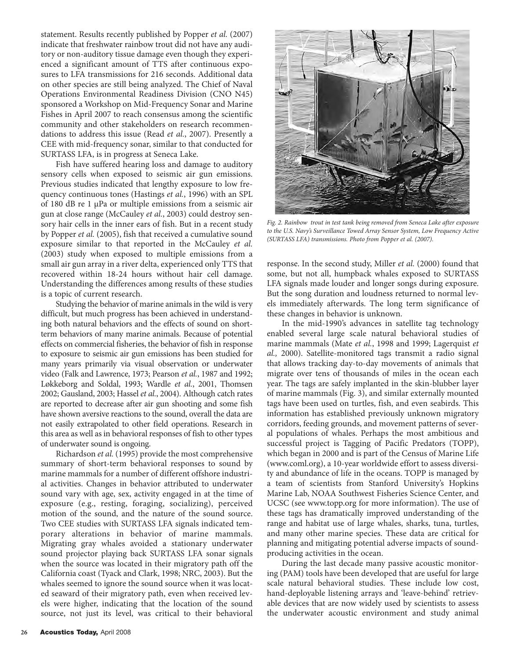statement. Results recently published by Popper *et al.* (2007) indicate that freshwater rainbow trout did not have any auditory or non-auditory tissue damage even though they experienced a significant amount of TTS after continuous exposures to LFA transmissions for 216 seconds. Additional data on other species are still being analyzed. The Chief of Naval Operations Environmental Readiness Division (CNO N45) sponsored a Workshop on Mid-Frequency Sonar and Marine Fishes in April 2007 to reach consensus among the scientific community and other stakeholders on research recommendations to address this issue (Read *et al.*, 2007). Presently a CEE with mid-frequency sonar, similar to that conducted for SURTASS LFA, is in progress at Seneca Lake.

Fish have suffered hearing loss and damage to auditory sensory cells when exposed to seismic air gun emissions. Previous studies indicated that lengthy exposure to low frequency continuous tones (Hastings *et al.*, 1996) with an SPL of 180 dB re 1 µPa or multiple emissions from a seismic air gun at close range (McCauley *et al.*, 2003) could destroy sensory hair cells in the inner ears of fish. But in a recent study by Popper *et al.* (2005), fish that received a cumulative sound exposure similar to that reported in the McCauley *et al.* (2003) study when exposed to multiple emissions from a small air gun array in a river delta, experienced only TTS that recovered within 18-24 hours without hair cell damage. Understanding the differences among results of these studies is a topic of current research.

Studying the behavior of marine animals in the wild is very difficult, but much progress has been achieved in understanding both natural behaviors and the effects of sound on shortterm behaviors of many marine animals. Because of potential effects on commercial fisheries, the behavior of fish in response to exposure to seismic air gun emissions has been studied for many years primarily via visual observation or underwater video (Falk and Lawrence, 1973; Pearson *et al.*, 1987 and 1992; Løkkeborg and Soldal, 1993; Wardle *et al.*, 2001, Thomsen 2002; Gausland, 2003; Hassel *et al.*, 2004). Although catch rates are reported to decrease after air gun shooting and some fish have shown aversive reactions to the sound, overall the data are not easily extrapolated to other field operations. Research in this area as well as in behavioral responses of fish to other types of underwater sound is ongoing.

Richardson *et al.* (1995) provide the most comprehensive summary of short-term behavioral responses to sound by marine mammals for a number of different offshore industrial activities. Changes in behavior attributed to underwater sound vary with age, sex, activity engaged in at the time of exposure (e.g., resting, foraging, socializing), perceived motion of the sound, and the nature of the sound source. Two CEE studies with SURTASS LFA signals indicated temporary alterations in behavior of marine mammals. Migrating gray whales avoided a stationary underwater sound projector playing back SURTASS LFA sonar signals when the source was located in their migratory path off the California coast (Tyack and Clark, 1998; NRC, 2003). But the whales seemed to ignore the sound source when it was located seaward of their migratory path, even when received levels were higher, indicating that the location of the sound source, not just its level, was critical to their behavioral



*Fig. 2. Rainbow trout in test tank being removed from Seneca Lake after exposure to the U.S. Navy's Surveillance Towed Array Sensor System, Low Frequency Active (SURTASS LFA) transmissions. Photo from Popper et al. (2007).*

response. In the second study, Miller *et al.* (2000) found that some, but not all, humpback whales exposed to SURTASS LFA signals made louder and longer songs during exposure. But the song duration and loudness returned to normal levels immediately afterwards. The long term significance of these changes in behavior is unknown.

In the mid-1990's advances in satellite tag technology enabled several large scale natural behavioral studies of marine mammals (Mate *et al.*, 1998 and 1999; Lagerquist *et al.,* 2000). Satellite-monitored tags transmit a radio signal that allows tracking day-to-day movements of animals that migrate over tens of thousands of miles in the ocean each year. The tags are safely implanted in the skin-blubber layer of marine mammals (Fig. 3), and similar externally mounted tags have been used on turtles, fish, and even seabirds. This information has established previously unknown migratory corridors, feeding grounds, and movement patterns of several populations of whales. Perhaps the most ambitious and successful project is Tagging of Pacific Predators (TOPP), which began in 2000 and is part of the Census of Marine Life (www.coml.org), a 10-year worldwide effort to assess diversity and abundance of life in the oceans. TOPP is managed by a team of scientists from Stanford University's Hopkins Marine Lab, NOAA Southwest Fisheries Science Center, and UCSC (see www.topp.org for more information). The use of these tags has dramatically improved understanding of the range and habitat use of large whales, sharks, tuna, turtles, and many other marine species. These data are critical for planning and mitigating potential adverse impacts of soundproducing activities in the ocean.

During the last decade many passive acoustic monitoring (PAM) tools have been developed that are useful for large scale natural behavioral studies. These include low cost, hand-deployable listening arrays and 'leave-behind' retrievable devices that are now widely used by scientists to assess the underwater acoustic environment and study animal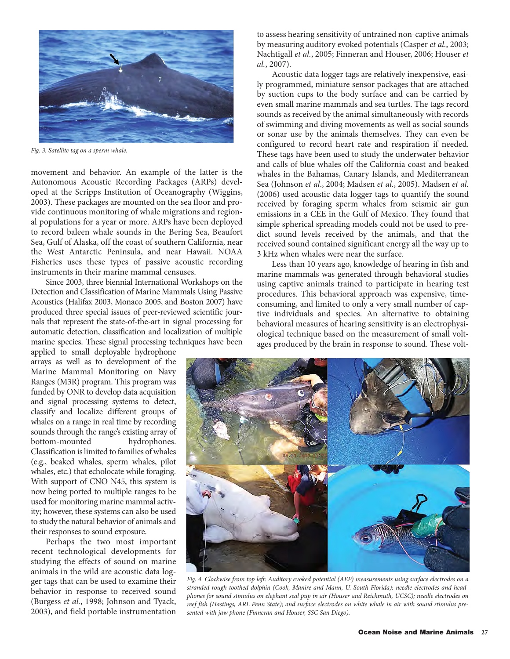

*Fig. 3. Satellite tag on a sperm whale.*

movement and behavior. An example of the latter is the Autonomous Acoustic Recording Packages (ARPs) developed at the Scripps Institution of Oceanography (Wiggins, 2003). These packages are mounted on the sea floor and provide continuous monitoring of whale migrations and regional populations for a year or more. ARPs have been deployed to record baleen whale sounds in the Bering Sea, Beaufort Sea, Gulf of Alaska, off the coast of southern California, near the West Antarctic Peninsula, and near Hawaii. NOAA Fisheries uses these types of passive acoustic recording instruments in their marine mammal censuses.

Since 2003, three biennial International Workshops on the Detection and Classification of Marine Mammals Using Passive Acoustics (Halifax 2003, Monaco 2005, and Boston 2007) have produced three special issues of peer-reviewed scientific journals that represent the state-of-the-art in signal processing for automatic detection, classification and localization of multiple marine species. These signal processing techniques have been

applied to small deployable hydrophone arrays as well as to development of the Marine Mammal Monitoring on Navy Ranges (M3R) program. This program was funded by ONR to develop data acquisition and signal processing systems to detect, classify and localize different groups of whales on a range in real time by recording sounds through the range's existing array of bottom-mounted hydrophones. Classification is limited to families of whales (e.g., beaked whales, sperm whales, pilot whales, etc.) that echolocate while foraging. With support of CNO N45, this system is now being ported to multiple ranges to be used for monitoring marine mammal activity; however, these systems can also be used to study the natural behavior of animals and their responses to sound exposure.

Perhaps the two most important recent technological developments for studying the effects of sound on marine animals in the wild are acoustic data logger tags that can be used to examine their behavior in response to received sound (Burgess *et al.*, 1998; Johnson and Tyack, 2003), and field portable instrumentation

to assess hearing sensitivity of untrained non-captive animals by measuring auditory evoked potentials (Casper *et al.*, 2003; Nachtigall *et al.*, 2005; Finneran and Houser, 2006; Houser *et al.*, 2007).

Acoustic data logger tags are relatively inexpensive, easily programmed, miniature sensor packages that are attached by suction cups to the body surface and can be carried by even small marine mammals and sea turtles. The tags record sounds as received by the animal simultaneously with records of swimming and diving movements as well as social sounds or sonar use by the animals themselves. They can even be configured to record heart rate and respiration if needed. These tags have been used to study the underwater behavior and calls of blue whales off the California coast and beaked whales in the Bahamas, Canary Islands, and Mediterranean Sea (Johnson *et al*., 2004; Madsen *et al.*, 2005). Madsen *et al.* (2006) used acoustic data logger tags to quantify the sound received by foraging sperm whales from seismic air gun emissions in a CEE in the Gulf of Mexico. They found that simple spherical spreading models could not be used to predict sound levels received by the animals, and that the received sound contained significant energy all the way up to 3 kHz when whales were near the surface.

Less than 10 years ago, knowledge of hearing in fish and marine mammals was generated through behavioral studies using captive animals trained to participate in hearing test procedures. This behavioral approach was expensive, timeconsuming, and limited to only a very small number of captive individuals and species. An alternative to obtaining behavioral measures of hearing sensitivity is an electrophysiological technique based on the measurement of small voltages produced by the brain in response to sound. These volt-



*Fig. 4. Clockwise from top left: Auditory evoked potential (AEP) measurements using surface electrodes on a stranded rough toothed dolphin (Cook, Manire and Mann, U. South Florida); needle electrodes and headphones for sound stimulus on elephant seal pup in air (Houser and Reichmuth, UCSC); needle electrodes on reef fish (Hastings, ARL Penn State); and surface electrodes on white whale in air with sound stimulus presented with jaw phone (Finneran and Houser, SSC San Diego).*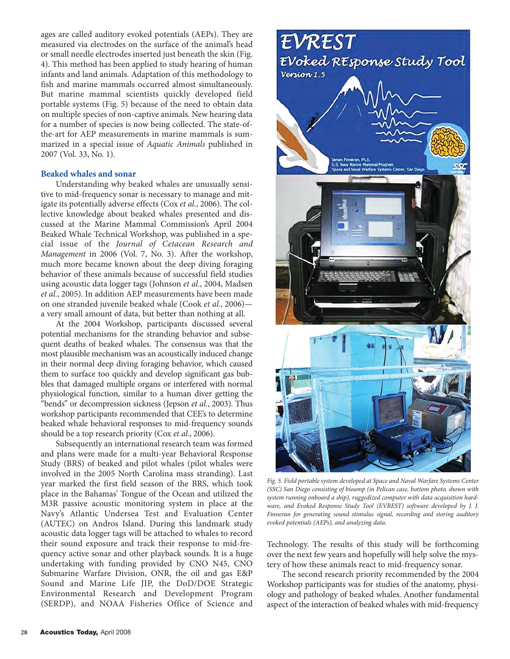ages are called auditory evoked potentials (AEPs). They are measured via electrodes on the surface of the animal's head or small needle electrodes inserted just beneath the skin (Fig. 4). This method has been applied to study hearing of human infants and land animals. Adaptation of this methodology to fish and marine mammals occurred almost simultaneously. But marine mammal scientists quickly developed field portable systems (Fig. 5) because of the need to obtain data on multiple species of non-captive animals. New hearing data for a number of species is now being collected. The state-ofthe-art for AEP measurements in marine mammals is summarized in a special issue of *Aquatic Animals* published in 2007 (Vol. 33, No. 1).

#### **Beaked whales and sonar**

Understanding why beaked whales are unusually sensitive to mid-frequency sonar is necessary to manage and mitigate its potentially adverse effects (Cox *et al.*, 2006). The collective knowledge about beaked whales presented and discussed at the Marine Mammal Commission's April 2004 Beaked Whale Technical Workshop, was published in a special issue of the *Journal of Cetacean Research and Management* in 2006 (Vol. 7, No. 3). After the workshop, much more became known about the deep diving foraging behavior of these animals because of successful field studies using acoustic data logger tags (Johnson *et al.*, 2004, Madsen *et al.*, 2005). In addition AEP measurements have been made on one stranded juvenile beaked whale (Cook *et al.*, 2006) a very small amount of data, but better than nothing at all.

At the 2004 Workshop, participants discussed several potential mechanisms for the stranding behavior and subsequent deaths of beaked whales. The consensus was that the most plausible mechanism was an acoustically induced change in their normal deep diving foraging behavior, which caused them to surface too quickly and develop significant gas bubbles that damaged multiple organs or interfered with normal physiological function, similar to a human diver getting the "bends" or decompression sickness (Jepson *et al.*, 2003). Thus workshop participants recommended that CEE's to determine beaked whale behavioral responses to mid-frequency sounds should be a top research priority (Cox *et al.*, 2006).

Subsequently an international research team was formed and plans were made for a multi-year Behavioral Response Study (BRS) of beaked and pilot whales (pilot whales were involved in the 2005 North Carolina mass stranding). Last year marked the first field season of the BRS, which took place in the Bahamas' Tongue of the Ocean and utilized the M3R passive acoustic monitoring system in place at the Navy's Atlantic Undersea Test and Evaluation Center (AUTEC) on Andros Island. During this landmark study acoustic data logger tags will be attached to whales to record their sound exposure and track their response to mid-frequency active sonar and other playback sounds. It is a huge undertaking with funding provided by CNO N45, CNO Submarine Warfare Division, ONR, the oil and gas E&P Sound and Marine Life JIP, the DoD/DOE Strategic Environmental Research and Development Program (SERDP), and NOAA Fisheries Office of Science and



*Fig. 5. Field portable system developed at Space and Naval Warfare Systems Center (SSC) San Diego consisting of bioamp (in Pelican case, bottom photo, shown with system running onboard a ship), ruggedized computer with data acquisition hardware, and Evoked Response Study Tool (EVREST) software developed by J. J. Finneran for generating sound stimulus signal, recording and storing auditory evoked potentials (AEPs), and analyzing data.*

Technology. The results of this study will be forthcoming over the next few years and hopefully will help solve the mystery of how these animals react to mid-frequency sonar.

The second research priority recommended by the 2004 Workshop participants was for studies of the anatomy, physiology and pathology of beaked whales. Another fundamental aspect of the interaction of beaked whales with mid-frequency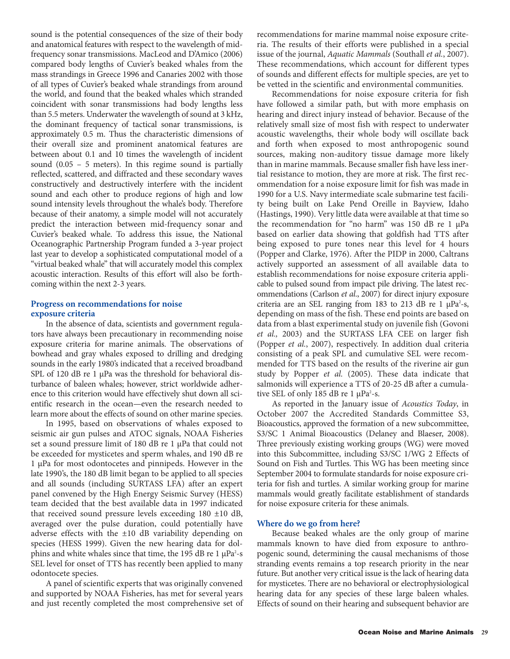sound is the potential consequences of the size of their body and anatomical features with respect to the wavelength of midfrequency sonar transmissions. MacLeod and D'Amico (2006) compared body lengths of Cuvier's beaked whales from the mass strandings in Greece 1996 and Canaries 2002 with those of all types of Cuvier's beaked whale strandings from around the world, and found that the beaked whales which stranded coincident with sonar transmissions had body lengths less than 5.5 meters. Underwater the wavelength of sound at 3 kHz, the dominant frequency of tactical sonar transmissions, is approximately 0.5 m. Thus the characteristic dimensions of their overall size and prominent anatomical features are between about 0.1 and 10 times the wavelength of incident sound (0.05 – 5 meters). In this regime sound is partially reflected, scattered, and diffracted and these secondary waves constructively and destructively interfere with the incident sound and each other to produce regions of high and low sound intensity levels throughout the whale's body. Therefore because of their anatomy, a simple model will not accurately predict the interaction between mid-frequency sonar and Cuvier's beaked whale. To address this issue, the National Oceanographic Partnership Program funded a 3-year project last year to develop a sophisticated computational model of a "virtual beaked whale" that will accurately model this complex acoustic interaction. Results of this effort will also be forthcoming within the next 2-3 years.

#### **Progress on recommendations for noise exposure criteria**

In the absence of data, scientists and government regulators have always been precautionary in recommending noise exposure criteria for marine animals. The observations of bowhead and gray whales exposed to drilling and dredging sounds in the early 1980's indicated that a received broadband SPL of 120 dB re 1  $\mu$ Pa was the threshold for behavioral disturbance of baleen whales; however, strict worldwide adherence to this criterion would have effectively shut down all scientific research in the ocean—even the research needed to learn more about the effects of sound on other marine species.

In 1995, based on observations of whales exposed to seismic air gun pulses and ATOC signals, NOAA Fisheries set a sound pressure limit of 180 dB re 1 µPa that could not be exceeded for mysticetes and sperm whales, and 190 dB re 1 µPa for most odontocetes and pinnipeds. However in the late 1990's, the 180 dB limit began to be applied to all species and all sounds (including SURTASS LFA) after an expert panel convened by the High Energy Seismic Survey (HESS) team decided that the best available data in 1997 indicated that received sound pressure levels exceeding 180 ±10 dB, averaged over the pulse duration, could potentially have adverse effects with the  $\pm 10$  dB variability depending on species (HESS 1999). Given the new hearing data for dolphins and white whales since that time, the 195 dB re 1  $\mu$ Pa<sup>2</sup>-s SEL level for onset of TTS has recently been applied to many odontocete species.

A panel of scientific experts that was originally convened and supported by NOAA Fisheries, has met for several years and just recently completed the most comprehensive set of recommendations for marine mammal noise exposure criteria. The results of their efforts were published in a special issue of the journal, *Aquatic Mammals* (Southall *et al.*, 2007). These recommendations, which account for different types of sounds and different effects for multiple species, are yet to be vetted in the scientific and environmental communities.

Recommendations for noise exposure criteria for fish have followed a similar path, but with more emphasis on hearing and direct injury instead of behavior. Because of the relatively small size of most fish with respect to underwater acoustic wavelengths, their whole body will oscillate back and forth when exposed to most anthropogenic sound sources, making non-auditory tissue damage more likely than in marine mammals. Because smaller fish have less inertial resistance to motion, they are more at risk. The first recommendation for a noise exposure limit for fish was made in 1990 for a U.S. Navy intermediate scale submarine test facility being built on Lake Pend Oreille in Bayview, Idaho (Hastings, 1990). Very little data were available at that time so the recommendation for "no harm" was 150 dB re 1  $\mu$ Pa based on earlier data showing that goldfish had TTS after being exposed to pure tones near this level for 4 hours (Popper and Clarke, 1976). After the PIDP in 2000, Caltrans actively supported an assessment of all available data to establish recommendations for noise exposure criteria applicable to pulsed sound from impact pile driving. The latest recommendations (Carlson *et al*., 2007) for direct injury exposure criteria are an SEL ranging from 183 to 213 dB re 1  $\mu$ Pa<sup>2</sup>-s, depending on mass of the fish. These end points are based on data from a blast experimental study on juvenile fish (Govoni *et al.,* 2003) and the SURTASS LFA CEE on larger fish (Popper *et al.*, 2007), respectively. In addition dual criteria consisting of a peak SPL and cumulative SEL were recommended for TTS based on the results of the riverine air gun study by Popper *et al.* (2005). These data indicate that salmonids will experience a TTS of 20-25 dB after a cumulative SEL of only 185 dB re 1  $\mu$ Pa<sup>2</sup>-s.

As reported in the January issue of *Acoustics Today*, in October 2007 the Accredited Standards Committee S3, Bioacoustics, approved the formation of a new subcommittee, S3/SC 1 Animal Bioacoustics (Delaney and Blaeser, 2008). Three previously existing working groups (WG) were moved into this Subcommittee, including S3/SC 1/WG 2 Effects of Sound on Fish and Turtles. This WG has been meeting since September 2004 to formulate standards for noise exposure criteria for fish and turtles. A similar working group for marine mammals would greatly facilitate establishment of standards for noise exposure criteria for these animals.

#### **Where do we go from here?**

Because beaked whales are the only group of marine mammals known to have died from exposure to anthropogenic sound, determining the causal mechanisms of those stranding events remains a top research priority in the near future. But another very critical issue is the lack of hearing data for mysticetes. There are no behavioral or electrophysiological hearing data for any species of these large baleen whales. Effects of sound on their hearing and subsequent behavior are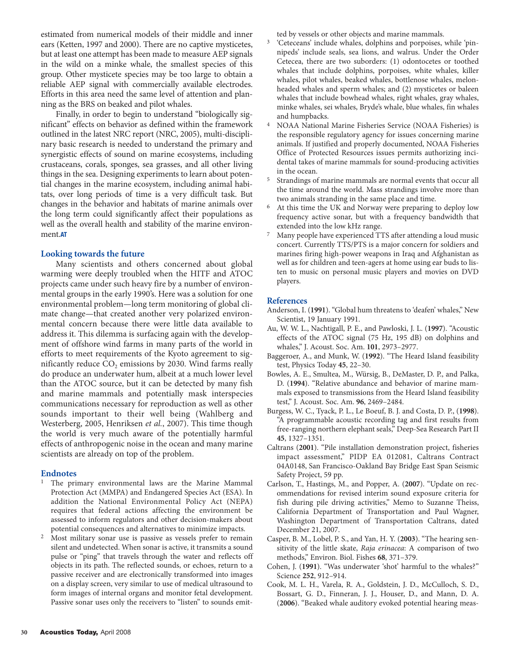estimated from numerical models of their middle and inner ears (Ketten, 1997 and 2000). There are no captive mysticetes, but at least one attempt has been made to measure AEP signals in the wild on a minke whale, the smallest species of this group. Other mysticete species may be too large to obtain a reliable AEP signal with commercially available electrodes. Efforts in this area need the same level of attention and planning as the BRS on beaked and pilot whales.

Finally, in order to begin to understand "biologically significant" effects on behavior as defined within the framework outlined in the latest NRC report (NRC, 2005), multi-disciplinary basic research is needed to understand the primary and synergistic effects of sound on marine ecosystems, including crustaceans, corals, sponges, sea grasses, and all other living things in the sea. Designing experiments to learn about potential changes in the marine ecosystem, including animal habitats, over long periods of time is a very difficult task. But changes in the behavior and habitats of marine animals over the long term could significantly affect their populations as well as the overall health and stability of the marine environment.**AT**

#### **Looking towards the future**

Many scientists and others concerned about global warming were deeply troubled when the HITF and ATOC projects came under such heavy fire by a number of environmental groups in the early 1990's. Here was a solution for one environmental problem—long term monitoring of global climate change—that created another very polarized environmental concern because there were little data available to address it. This dilemma is surfacing again with the development of offshore wind farms in many parts of the world in efforts to meet requirements of the Kyoto agreement to significantly reduce  $CO<sub>2</sub>$  emissions by 2030. Wind farms really do produce an underwater hum, albeit at a much lower level than the ATOC source, but it can be detected by many fish and marine mammals and potentially mask interspecies communications necessary for reproduction as well as other sounds important to their well being (Wahlberg and Westerberg, 2005, Henriksen *et al.*, 2007). This time though the world is very much aware of the potentially harmful effects of anthropogenic noise in the ocean and many marine scientists are already on top of the problem.

#### **Endnotes**

- 1 The primary environmental laws are the Marine Mammal Protection Act (MMPA) and Endangered Species Act (ESA). In addition the National Environmental Policy Act (NEPA) requires that federal actions affecting the environment be assessed to inform regulators and other decision-makers about potential consequences and alternatives to minimize impacts. 2 Most military sonar use is passive as vessels prefer to remain
- silent and undetected. When sonar is active, it transmits a sound pulse or "ping" that travels through the water and reflects off objects in its path. The reflected sounds, or echoes, return to a passive receiver and are electronically transformed into images on a display screen, very similar to use of medical ultrasound to form images of internal organs and monitor fetal development. Passive sonar uses only the receivers to "listen" to sounds emit-

ted by vessels or other objects and marine mammals.

- 3 'Ceteceans' include whales, dolphins and porpoises, while 'pinnipeds' include seals, sea lions, and walrus. Under the Order Cetecea, there are two suborders: (1) odontocetes or toothed whales that include dolphins, porpoises, white whales, killer whales, pilot whales, beaked whales, bottlenose whales, melonheaded whales and sperm whales; and (2) mysticetes or baleen whales that include bowhead whales, right whales, gray whales, minke whales, sei whales, Bryde's whale, blue whales, fin whales and humpbacks.
- 4 NOAA National Marine Fisheries Service (NOAA Fisheries) is the responsible regulatory agency for issues concerning marine animals. If justified and properly documented, NOAA Fisheries Office of Protected Resources issues permits authorizing incidental takes of marine mammals for sound-producing activities in the ocean.
- 5 Strandings of marine mammals are normal events that occur all the time around the world. Mass strandings involve more than two animals stranding in the same place and time.
- At this time the UK and Norway were preparing to deploy low frequency active sonar, but with a frequency bandwidth that extended into the low kHz range.
- 7 Many people have experienced TTS after attending a loud music concert. Currently TTS/PTS is a major concern for soldiers and marines firing high-power weapons in Iraq and Afghanistan as well as for children and teen-agers at home using ear buds to listen to music on personal music players and movies on DVD players.

#### **References**

- Anderson, I. (**1991**). "Global hum threatens to 'deafen' whales," New Scientist, 19 January 1991.
- Au, W. W. L., Nachtigall, P. E., and Pawloski, J. L. (**1997**). "Acoustic effects of the ATOC signal (75 Hz, 195 dB) on dolphins and whales," J. Acoust. Soc. Am. **101**, 2973–2977.
- Baggeroer, A., and Munk, W. (**1992**). "The Heard Island feasibility test, Physics Today **45**, 22–30.
- Bowles, A. E., Smultea, M., Würsig, B., DeMaster, D. P., and Palka, D. (**1994**). "Relative abundance and behavior of marine mammals exposed to transmissions from the Heard Island feasibility test," J. Acoust. Soc. Am. **96**, 2469–2484.
- Burgess, W. C., Tyack, P. L., Le Boeuf, B. J. and Costa, D. P., (**1998**). "A programmable acoustic recording tag and first results from free-ranging northern elephant seals," Deep-Sea Research Part II **45**, 1327–1351.
- Caltrans (**2001**). "Pile installation demonstration project, fisheries impact assessment," PIDP EA 012081, Caltrans Contract 04A0148, San Francisco-Oakland Bay Bridge East Span Seismic Safety Project, 59 pp.
- Carlson, T., Hastings, M., and Popper, A. (**2007**). "Update on recommendations for revised interim sound exposure criteria for fish during pile driving activities," Memo to Suzanne Theiss, California Department of Transportation and Paul Wagner, Washington Department of Transportation Caltrans, dated December 21, 2007.
- Casper, B. M., Lobel, P. S., and Yan, H. Y. (**2003**). "The hearing sensitivity of the little skate, *Raja erinacea*: A comparison of two methods," Environ. Biol. Fishes **68**, 371–379.
- Cohen, J. (**1991**). "Was underwater 'shot' harmful to the whales?" Science **252**, 912–914.
- Cook, M. L. H., Varela, R. A., Goldstein, J. D., McCulloch, S. D., Bossart, G. D., Finneran, J. J., Houser, D., and Mann, D. A. (**2006**). "Beaked whale auditory evoked potential hearing meas-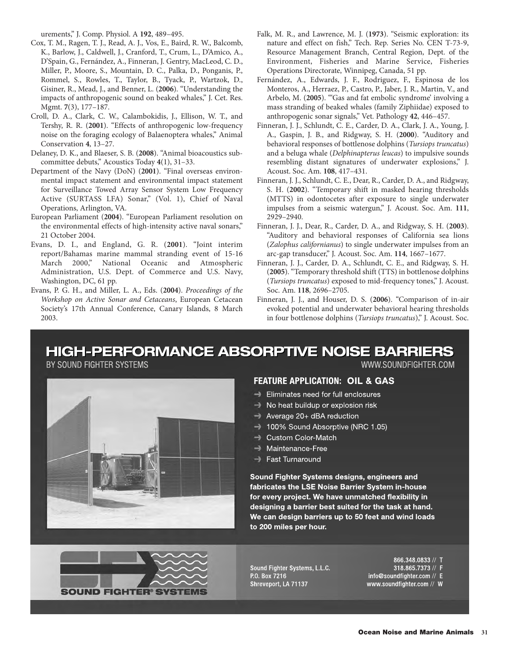urements," J. Comp. Physiol. A **192**, 489–495.

- Cox, T. M., Ragen, T. J., Read, A. J., Vos, E., Baird, R. W., Balcomb, K., Barlow, J., Caldwell, J., Cranford, T., Crum, L., D'Amico, A., D'Spain, G., Fernández, A., Finneran, J. Gentry, MacLeod, C. D., Miller, P., Moore, S., Mountain, D. C., Palka, D., Ponganis, P., Rommel, S., Rowles, T., Taylor, B., Tyack, P., Wartzok, D., Gisiner, R., Mead, J., and Benner, L. (**2006**). "Understanding the impacts of anthropogenic sound on beaked whales," J. Cet. Res. Mgmt. **7**(3), 177–187.
- Croll, D. A., Clark, C. W., Calambokidis, J., Ellison, W. T., and Tershy, R. R. (**2001**). "Effects of anthropogenic low-frequency noise on the foraging ecology of Balaenoptera whales," Animal Conservation **4**, 13–27.
- Delaney, D. K., and Blaeser, S. B. (**2008**). "Animal bioacoustics subcommittee debuts," Acoustics Today **4**(1), 31–33.
- Department of the Navy (DoN) (**2001**). "Final overseas environmental impact statement and environmental impact statement for Surveillance Towed Array Sensor System Low Frequency Active (SURTASS LFA) Sonar," (Vol. 1), Chief of Naval Operations, Arlington, VA.
- European Parliament (**2004**). "European Parliament resolution on the environmental effects of high-intensity active naval sonars," 21 October 2004.
- Evans, D. I., and England, G. R. (**2001**). "Joint interim report/Bahamas marine mammal stranding event of 15-16 March 2000," National Oceanic and Atmospheric Administration, U.S. Dept. of Commerce and U.S. Navy, Washington, DC, 61 pp.
- Evans, P. G. H., and Miller, L. A., Eds. (**2004**). *Proceedings of the Workshop on Active Sonar and Cetaceans*, European Cetacean Society's 17th Annual Conference, Canary Islands, 8 March 2003.
- Falk, M. R., and Lawrence, M. J. (**1973**). "Seismic exploration: its nature and effect on fish," Tech. Rep. Series No. CEN T-73-9, Resource Management Branch, Central Region, Dept. of the Environment, Fisheries and Marine Service, Fisheries Operations Directorate, Winnipeg, Canada, 51 pp.
- Fernández, A., Edwards, J. F., Rodriguez, F., Espinosa de los Monteros, A., Herraez, P., Castro, P., Jaber, J. R., Martin, V., and Arbelo, M. (**2005**). "'Gas and fat embolic syndrome' involving a mass stranding of beaked whales (family Ziphiidae) exposed to anthropogenic sonar signals," Vet. Pathology **42**, 446–457.
- Finneran, J. J., Schlundt, C. E., Carder, D. A., Clark, J. A., Young, J. A., Gaspin, J. B., and Ridgway, S. H. (**2000**). "Auditory and behavioral responses of bottlenose dolphins (*Tursiops truncatus*) and a beluga whale (*Delphinapterus leucas*) to impulsive sounds resembling distant signatures of underwater explosions," J. Acoust. Soc. Am. **108**, 417–431.
- Finneran, J. J., Schlundt, C. E., Dear, R., Carder, D. A., and Ridgway, S. H. (**2002**). "Temporary shift in masked hearing thresholds (MTTS) in odontocetes after exposure to single underwater impulses from a seismic watergun," J. Acoust. Soc. Am. **111**, 2929–2940.
- Finneran, J. J., Dear, R., Carder, D. A., and Ridgway, S. H. (**2003**). "Auditory and behavioral responses of California sea lions (*Zalophus californianus*) to single underwater impulses from an arc-gap transducer," J. Acoust. Soc. Am. **114**, 1667–1677.
- Finneran, J. J., Carder, D. A., Schlundt, C. E., and Ridgway, S. H. (**2005**). "Temporary threshold shift (TTS) in bottlenose dolphins (*Tursiops truncatus*) exposed to mid-frequency tones," J. Acoust. Soc. Am. **118**, 2696–2705.
- Finneran, J. J., and Houser, D. S. (**2006**). "Comparison of in-air evoked potential and underwater behavioral hearing thresholds in four bottlenose dolphins (*Tursiops truncatus*)," J. Acoust. Soc.

# **HIGH-PERFORMANCE ABSORPTIVE NOISE BARRIERS**

BY SOUND FIGHTER SYSTEMS



### **FEATURE APPLICATION: OIL & GAS**

- Eliminates need for full enclosures
- No heat buildup or explosion risk
- $\rightarrow$  Average 20+ dBA reduction
- $\rightarrow$  100% Sound Absorptive (NRC 1.05)
- $\rightarrow$  Custom Color-Match
- Maintenance-Free
- $\rightarrow$  Fast Turnaround

Sound Fighter Systems designs, engineers and fabricates the LSE Noise Barrier System in-house for every project. We have unmatched flexibility in designing a barrier best suited for the task at hand. We can design barriers up to 50 feet and wind loads to 200 miles per hour.



Sound Fighter Systems, L.L.C. P.O. Box 7216 Shreveport, LA 71137

866.348.0833 // T

WWW.SOUNDFIGHTER.COM

318.865.7373 // F

info@soundfighter.com // E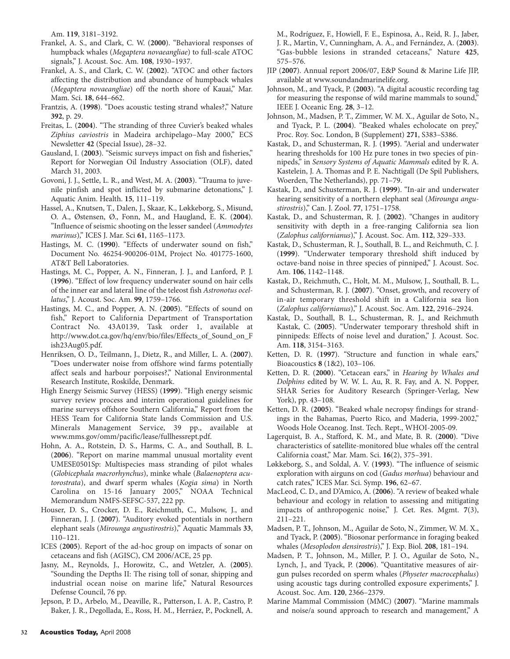Am. **119**, 3181–3192.

- Frankel, A. S., and Clark, C. W. (**2000**). "Behavioral responses of humpback whales (*Megaptera novaeangliae*) to full-scale ATOC signals," J. Acoust. Soc. Am. **108**, 1930–1937.
- Frankel, A. S., and Clark, C. W. (**2002**). "ATOC and other factors affecting the distribution and abundance of humpback whales (*Megaptera novaeangliae*) off the north shore of Kauai," Mar. Mam. Sci. **18**, 644–662.
- Frantzis, A. (**1998**). "Does acoustic testing strand whales?," Nature **392**, p. 29.
- Freitas, L. (**2004**). "The stranding of three Cuvier's beaked whales *Ziphius caviostris* in Madeira archipelago–May 2000," ECS Newsletter **42** (Special Issue), 28–32.
- Gausland, I. (**2003**). "Seismic surveys impact on fish and fisheries," Report for Norwegian Oil Industry Association (OLF), dated March 31, 2003.
- Govoni, J. J., Settle, L. R., and West, M. A. (**2003**). "Trauma to juvenile pinfish and spot inflicted by submarine detonations," J. Aquatic Anim. Health. **15**, 111–119.
- Hassel, A., Knutsen, T., Dalen, J., Skaar, K., Løkkeborg, S., Misund, O. A., Østensen, Ø., Fonn, M., and Haugland, E. K. (**2004**). "Influence of seismic shooting on the lesser sandeel (*Ammodytes marinus*)," ICES J. Mar. Sci **61**, 1165–1173.
- Hastings, M. C. (**1990**). "Effects of underwater sound on fish," Document No. 46254-900206-01M, Project No. 401775-1600, AT&T Bell Laboratories.
- Hastings, M. C., Popper, A. N., Finneran, J. J., and Lanford, P. J. (**1996**). "Effect of low frequency underwater sound on hair cells of the inner ear and lateral line of the teleost fish *Astronotus ocellatus*," J. Acoust. Soc. Am. **99**, 1759–1766.
- Hastings, M. C., and Popper, A. N. (**2005**). "Effects of sound on fish," Report to California Department of Transportation Contract No. 43A0139, Task order 1, available at http://www.dot.ca.gov/hq/env/bio/files/Effects\_of\_Sound\_on\_F ish23Aug05.pdf.
- Henriksen, O. D., Teilmann, J., Dietz, R., and Miller, L. A. (**2007**). "Does underwater noise from offshore wind farms potentially affect seals and harbour porpoises?," National Environmental Research Institute, Roskilde, Denmark.
- High Energy Seismic Survey (HESS) (**1999**). "High energy seismic survey review process and interim operational guidelines for marine surveys offshore Southern California," Report from the HESS Team for California State lands Commission and U.S. Minerals Management Service, 39 pp., available at www.mms.gov/omm/pacific/lease/fullhessrept.pdf.
- Hohn, A. A., Rotstein, D. S., Harms, C. A., and Southall, B. L. (**2006**). "Report on marine mammal unusual mortality event UMESE0501Sp: Multispecies mass stranding of pilot whales (*Globicephala macrorhynchus*), minke whale (*Balaenoptera acutorostrata*), and dwarf sperm whales (*Kogia sima*) in North Carolina on 15-16 January 2005," NOAA Technical Memorandum NMFS-SEFSC-537, 222 pp.
- Houser, D. S., Crocker, D. E., Reichmuth, C., Mulsow, J., and Finneran, J. J. (**2007**). "Auditory evoked potentials in northern elephant seals (*Mirounga angustirostris*)," Aquatic Mammals **33**, 110–121.
- ICES (**2005**). Report of the ad-hoc group on impacts of sonar on cetaceans and fish (AGISC), CM 2006/ACE, 25 pp.
- Jasny, M., Reynolds, J., Horowitz, C., and Wetzler, A. (**2005**). "Sounding the Depths II: The rising toll of sonar, shipping and industrial ocean noise on marine life," Natural Resources Defense Council, 76 pp.
- Jepson, P. D., Arbelo, M., Deaville, R., Patterson, I. A. P., Castro, P. Baker, J. R., Degollada, E., Ross, H. M., Herráez, P., Pocknell, A.
- M., Rodríguez, F., Howiell, F. E., Espinosa, A., Reid, R. J., Jaber, J. R., Martin, V., Cunningham, A. A., and Fernández, A. (**2003**). "Gas-bubble lesions in stranded cetaceans," Nature **425**, 575–576.
- JIP (**2007**). Annual report 2006/07, E&P Sound & Marine Life JIP, available at www.soundandmarinelife.org.
- Johnson, M., and Tyack, P. (**2003**). "A digital acoustic recording tag for measuring the response of wild marine mammals to sound," IEEE J. Oceanic Eng. **28**, 3–12.
- Johnson, M., Madsen, P. T., Zimmer, W. M. X., Aguilar de Soto, N., and Tyack, P. L. (**2004**). "Beaked whales echolocate on prey," Proc. Roy. Soc. London, B (Supplement) **271**, S383–S386.
- Kastak, D., and Schusterman, R. J. (**1995**). "Aerial and underwater hearing thresholds for 100 Hz pure tones in two species of pinnipeds," in *Sensory Systems of Aquatic Mammals* edited by R. A. Kastelein, J. A. Thomas and P. E. Nachtigall (De Spil Publishers, Woerden, The Netherlands), pp. 71–79.
- Kastak, D., and Schusterman, R. J. (**1999**). "In-air and underwater hearing sensitivity of a northern elephant seal (*Mirounga angustirostris*)," Can. J. Zool. **77**, 1751–1758.
- Kastak, D., and Schusterman, R. J. (**2002**). "Changes in auditory sensitivity with depth in a free-ranging California sea lion (*Zalophus californianus*)," J. Acoust. Soc. Am. **112**, 329–333.
- Kastak, D., Schusterman, R. J., Southall, B. L., and Reichmuth, C. J. (**1999**). "Underwater temporary threshold shift induced by octave-band noise in three species of pinniped," J. Acoust. Soc. Am. **106**, 1142–1148.
- Kastak, D., Reichmuth, C., Holt, M. M., Mulsow, J., Southall, B. L., and Schusterman, R. J. (**2007**). "Onset, growth, and recovery of in-air temporary threshold shift in a California sea lion (*Zalophus californianus*)," J. Acoust. Soc. Am. **122**, 2916–2924.
- Kastak, D., Southall, B. L., Schusterman, R. J., and Reichmuth Kastak, C. (**2005**). "Underwater temporary threshold shift in pinnipeds: Effects of noise level and duration," J. Acoust. Soc. Am. **118**, 3154–3163.
- Ketten, D. R. (**1997**). "Structure and function in whale ears," Bioacoustics **8** (1&2), 103–106.
- Ketten, D. R. (**2000**). "Cetacean ears," in *Hearing by Whales and Dolphins* edited by W. W. L. Au, R. R. Fay, and A. N. Popper, SHAR Series for Auditory Research (Springer-Verlag, New York), pp. 43–108.
- Ketten, D. R. (**2005**). "Beaked whale necropsy findings for strandings in the Bahamas, Puerto Rico, and Maderia, 1999-2002," Woods Hole Oceanog. Inst. Tech. Rept., WHOI-2005-09.
- Lagerquist, B. A., Stafford, K. M., and Mate, B. R. (**2000**). "Dive characteristics of satellite-monitored blue whales off the central California coast," Mar. Mam. Sci. **16**(2), 375–391.
- Løkkeborg, S., and Soldal, A. V. (**1993**). "The influence of seismic exploration with airguns on cod (*Gadus morhua*) behaviour and catch rates," ICES Mar. Sci. Symp. **196**, 62–67.
- MacLeod, C. D., and D'Amico, A. (**2006**). "A review of beaked whale behaviour and ecology in relation to assessing and mitigating impacts of anthropogenic noise," J. Cet. Res. Mgmt. **7**(3), 211–221.
- Madsen, P. T., Johnson, M., Aguilar de Soto, N., Zimmer, W. M. X., and Tyack, P. (**2005**). "Biosonar performance in foraging beaked whales (*Mesoplodon densirostris*)," J. Exp. Biol. **208**, 181–194.
- Madsen, P. T., Johnson, M., Miller, P. J. O., Aguilar de Soto, N., Lynch, J., and Tyack, P. (**2006**). "Quantitative measures of airgun pulses recorded on sperm whales (*Physeter macrocephalus*) using acoustic tags during controlled exposure experiments," J. Acoust. Soc. Am. **120**, 2366–2379.
- Marine Mammal Commission (MMC) (**2007**). "Marine mammals and noise/a sound approach to research and management," A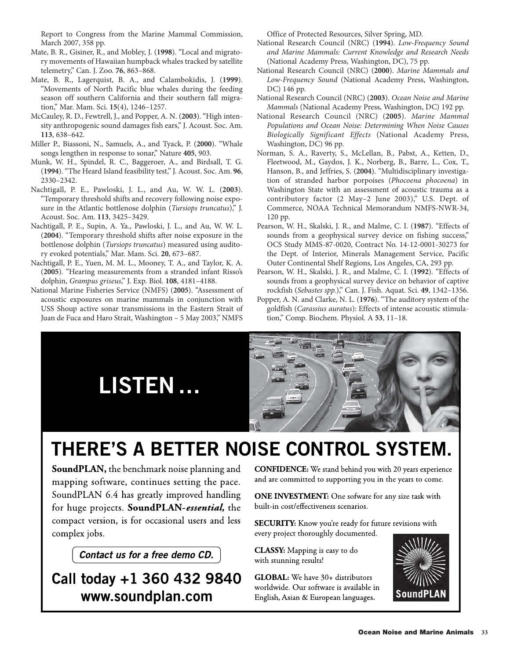Report to Congress from the Marine Mammal Commission, March 2007, 358 pp.

- Mate, B. R., Gisiner, R., and Mobley, J. (**1998**). "Local and migratory movements of Hawaiian humpback whales tracked by satellite telemetry," Can. J. Zoo. **76**, 863–868.
- Mate, B. R., Lagerquist, B. A., and Calambokidis, J. (**1999**). "Movements of North Pacific blue whales during the feeding season off southern California and their southern fall migration," Mar. Mam. Sci. **15**(4), 1246–1257.
- McCauley, R. D., Fewtrell, J., and Popper, A. N. (**2003**). "High intensity anthropogenic sound damages fish ears," J. Acoust. Soc. Am. **113**, 638–642.
- Miller P., Biassoni, N., Samuels, A., and Tyack, P. (**2000**). "Whale songs lengthen in response to sonar," Nature **405**, 903.
- Munk, W. H., Spindel, R. C., Baggeroer, A., and Birdsall, T. G. (**1994**). "The Heard Island feasibility test," J. Acoust. Soc. Am. **96**, 2330–2342.
- Nachtigall, P. E., Pawloski, J. L., and Au, W. W. L. (**2003**). "Temporary threshold shifts and recovery following noise exposure in the Atlantic bottlenose dolphin (*Tursiops truncatus*)," J. Acoust. Soc. Am. **113**, 3425–3429.
- Nachtigall, P. E., Supin, A. Ya., Pawloski, J. L., and Au, W. W. L. (**2004**). "Temporary threshold shifts after noise exposure in the bottlenose dolphin (*Tursiops truncatus*) measured using auditory evoked potentials," Mar. Mam. Sci. **20**, 673–687.
- Nachtigall, P. E., Yuen, M. M. L., Mooney, T. A., and Taylor, K. A. (**2005**). "Hearing measurements from a stranded infant Risso's dolphin, *Grampus griseus*," J. Exp. Biol. **108**, 4181–4188.
- National Marine Fisheries Service (NMFS) (**2005**). "Assessment of acoustic exposures on marine mammals in conjunction with USS Shoup active sonar transmissions in the Eastern Strait of Juan de Fuca and Haro Strait, Washington – 5 May 2003," NMFS

Office of Protected Resources, Silver Spring, MD.

- National Research Council (NRC) (**1994**). *Low-Frequency Sound and Marine Mammals: Current Knowledge and Research Needs* (National Academy Press, Washington, DC), 75 pp.
- National Research Council (NRC) (**2000**). *Marine Mammals and Low-Frequency Sound* (National Academy Press, Washington, DC) 146 pp.
- National Research Council (NRC) (**2003**). *Ocean Noise and Marine Mammals* (National Academy Press, Washington, DC) 192 pp.
- National Research Council (NRC) (**2005**). *Marine Mammal Populations and Ocean Noise: Determining When Noise Causes Biologically Significant Effects* (National Academy Press, Washington, DC) 96 pp.
- Norman, S. A., Raverty, S., McLellan, B., Pabst, A., Ketten, D., Fleetwood, M., Gaydos, J. K., Norberg, B., Barre, L., Cox, T., Hanson, B., and Jeffries, S. (**2004**). "Multidisciplinary investigation of stranded harbor porpoises (*Phocoena phocoena*) in Washington State with an assessment of acoustic trauma as a contributory factor (2 May–2 June 2003)," U.S. Dept. of Commerce, NOAA Technical Memorandum NMFS-NWR-34, 120 pp.
- Pearson, W. H., Skalski, J. R., and Malme, C. I. (**1987**). "Effects of sounds from a geophysical survey device on fishing success," OCS Study MMS-87-0020, Contract No. 14-12-0001-30273 for the Dept. of Interior, Minerals Management Service, Pacific Outer Continental Shelf Regions, Los Angeles, CA, 293 pp.
- Pearson, W. H., Skalski, J. R., and Malme, C. I. (**1992**). "Effects of sounds from a geophysical survey device on behavior of captive rockfish (*Sebastes spp.*)," Can. J. Fish. Aquat. Sci. **49**, 1342–1356.
- Popper, A. N. and Clarke, N. L. (**1976**). "The auditory system of the goldfish (*Carassius auratus*): Effects of intense acoustic stimulation," Comp. Biochem. Physiol. A **53**, 11–18.



# THERE'S A BETTER NOISE CONTROL SYSTEM.

SoundPLAN, the benchmark noise planning and mapping software, continues setting the pace. SoundPLAN 6.4 has greatly improved handling for huge projects. SoundPLAN-essential, the compact version, is for occasional users and less complex jobs.

Contact us for a free demo CD.

Call today +1 360 432 9840 www.soundplan.com

**CONFIDENCE:** We stand behind you with 20 years experience and are committed to supporting you in the years to come.

**ONE INVESTMENT:** One sofware for any size task with built-in cost/effectiveness scenarios.

**SECURITY:** Know you're ready for future revisions with every project thoroughly documented.

**CLASSY:** Mapping is easy to do with stunning results!

**GLOBAL:** We have 30+ distributors worldwide. Our software is available in English, Asian & European languages.